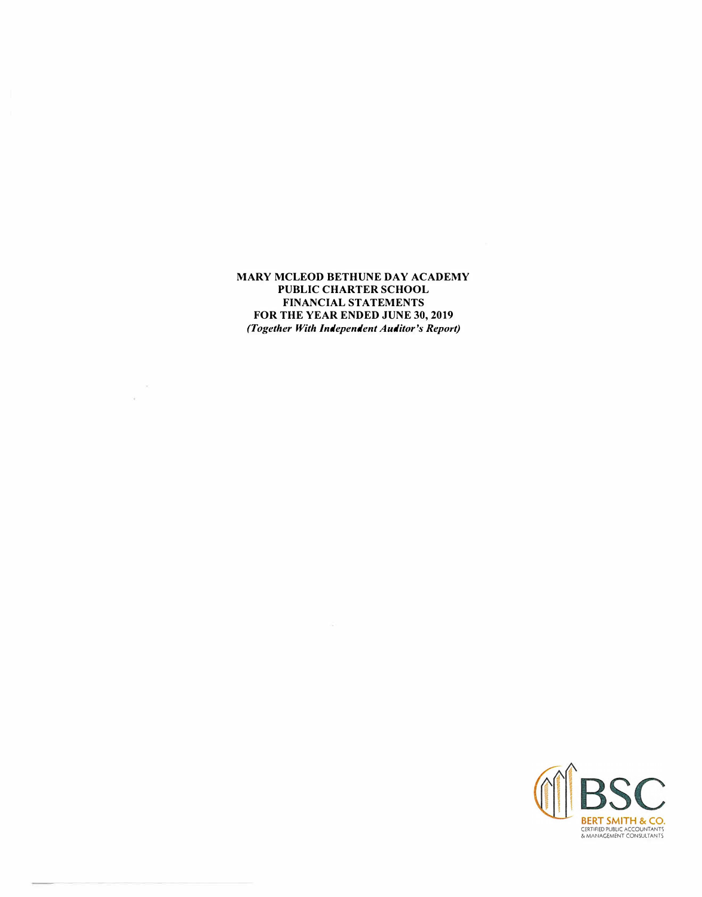**MARY MCLEOD BETHUNE DAY ACADEMY PUBLIC CHARTER SCHOOL FINANCIAL STATEMENTS FOR THE YEAR ENDED JUNE 30, 2019**  *(Together With Independent Auditor's Report)* 

 $\sim 10$ 

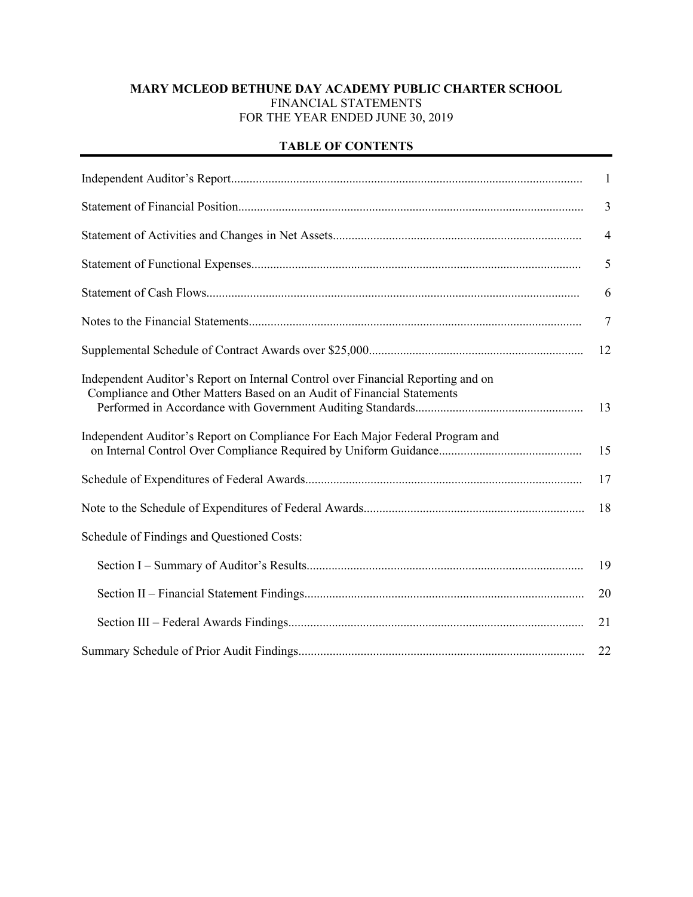# **MARY MCLEOD BETHUNE DAY ACADEMY PUBLIC CHARTER SCHOOL** FINANCIAL STATEMENTS FOR THE YEAR ENDED JUNE 30, 2019

## **TABLE OF CONTENTS**

|                                                                                                                                                            | $\mathbf{1}$    |
|------------------------------------------------------------------------------------------------------------------------------------------------------------|-----------------|
|                                                                                                                                                            | $\overline{3}$  |
|                                                                                                                                                            | $\overline{4}$  |
|                                                                                                                                                            | 5               |
|                                                                                                                                                            | 6               |
|                                                                                                                                                            | $7\phantom{.0}$ |
|                                                                                                                                                            | 12              |
| Independent Auditor's Report on Internal Control over Financial Reporting and on<br>Compliance and Other Matters Based on an Audit of Financial Statements | 13              |
| Independent Auditor's Report on Compliance For Each Major Federal Program and                                                                              | 15              |
|                                                                                                                                                            | 17              |
|                                                                                                                                                            | 18              |
| Schedule of Findings and Questioned Costs:                                                                                                                 |                 |
|                                                                                                                                                            | 19              |
|                                                                                                                                                            | 20              |
|                                                                                                                                                            | 21              |
|                                                                                                                                                            | 22              |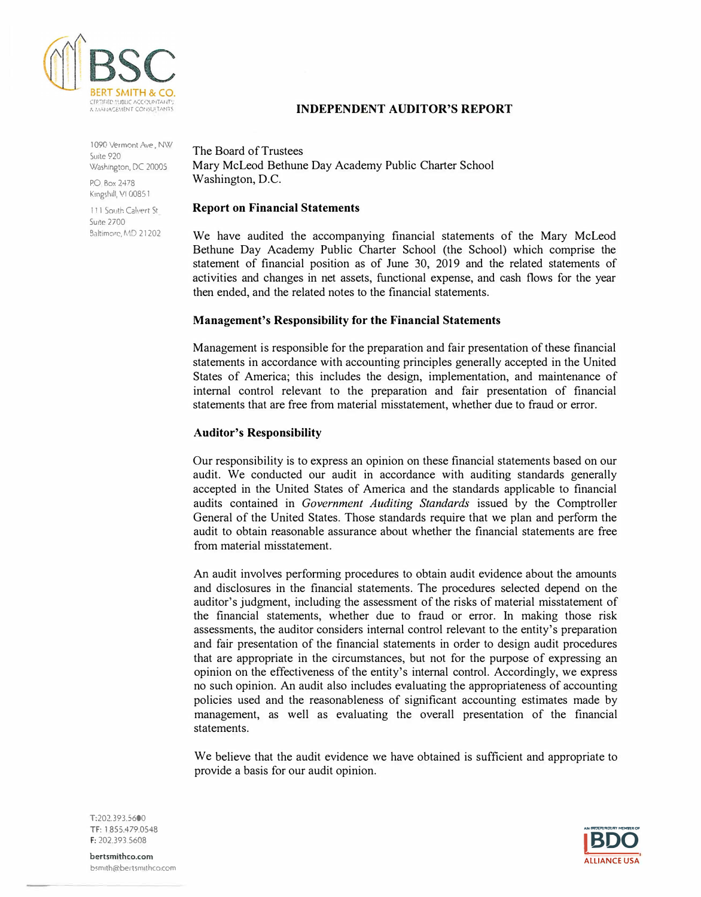

l 090 Vermont Ave, NW Suite 920 Washington, DC 20005

PO Box 2478 Kingshill, VI 00851

111 South Calvert St.  $S<sub>U</sub>$ te 2700 Baltimore, MD 21202 The Board of Trustees Mary McLeod Bethune Day Academy Public Charter School Washington, D.C.

#### **Report on Financial Statements**

We have audited the accompanying financial statements of the Mary McLeod Bethune Day Academy Public Charter School (the School) which comprise the statement of financial position as of June 30, 2019 and the related statements of activities and changes in net assets, functional expense, and cash flows for the year then ended, and the related notes to the financial statements.

**INDEPENDENT AUDITOR'S REPORT** 

## **Management's Responsibility for the Financial Statements**

Management is responsible for the preparation and fair presentation of these financial statements in accordance with accounting principles generally accepted in the United States of America; this includes the design, implementation, and maintenance of internal control relevant to the preparation and fair presentation of financial statements that are free from material misstatement, whether due to fraud or error.

#### **Auditor's Responsibility**

Our responsibility is to express an opinion on these financial statements based on our audit. We conducted our audit in accordance with auditing standards generally accepted in the United States of America and the standards applicable to financial audits contained in *Government Auditing Standards* issued by the Comptroller General of the United States. Those standards require that we plan and perform the audit to obtain reasonable assurance about whether the financial statements are free from material misstatement.

An audit involves performing procedures to obtain audit evidence about the amounts and disclosures in the financial statements. The procedures selected depend on the auditor's judgment, including the assessment of the risks of material misstatement of the financial statements, whether due to fraud or error. In making those risk assessments, the auditor considers internal control relevant to the entity's preparation and fair presentation of the financial statements in order to design audit procedures that are appropriate in the circumstances, but not for the purpose of expressing an opinion on the effectiveness of the entity's internal control. Accordingly, we express no such opinion. An audit also includes evaluating the appropriateness of accounting policies used and the reasonableness of significant accounting estimates made by management, as well as evaluating the overall presentation of the financial statements.

We believe that the audit evidence we have obtained is sufficient and appropriate to provide a basis for our audit opinion.



T:202.393.5600 **TF:** 1 855.479.0548 **F:** 202.393.5608

**bertsmithco.com**  bsmith@bertsmithco.com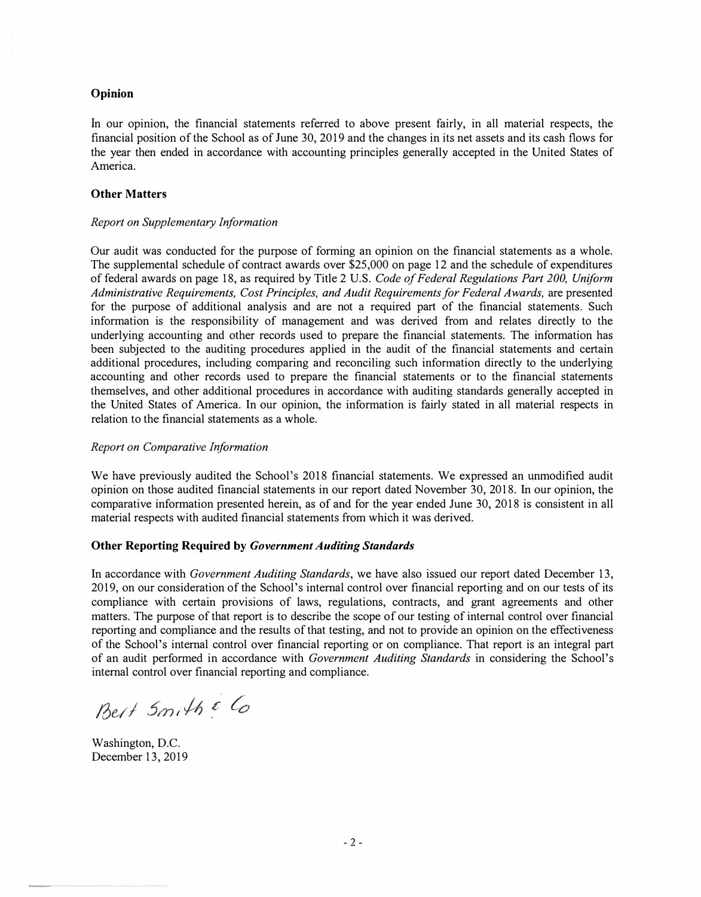#### **Opinion**

1n our opinion, the financial statements referred to above present fairly, in all material respects, the financial position of the School as of June 30, 2019 and the changes in its net assets and its cash flows for the year then ended in accordance with accounting principles generally accepted in the United States of America.

#### **Other Matters**

#### *Report on Supplementary Information*

Our audit was conducted for the purpose of forming an opinion on the financial statements as a whole. The supplemental schedule of contract awards over \$25,000 on page 12 and the schedule of expenditures of federal awards on page 18, as required by Title 2 U.S. *Code of Federal Regulations Part 200, Uniform Administrative Requirements, Cost Principles, and Audit Requirements for Federal Awards,* are presented for the purpose of additional analysis and are not a required part of the financial statements. Such information is the responsibility of management and was derived from and relates directly to the underlying accounting and other records used to prepare the financial statements. The information has been subjected to the auditing procedures applied in the audit of the financial statements and certain additional procedures, including comparing and reconciling such information directly to the underlying accounting and other records used to prepare the financial statements or to the financial statements themselves, and other additional procedures in accordance with auditing standards generally accepted in the United States of America. In our opinion, the information is fairly stated in all material respects in relation to the financial statements as a whole.

#### *Report on Comparative Information*

We have previously audited the School's 2018 financial statements. We expressed an unmodified audit opinion on those audited financial statements in our report dated November 30, 2018. In our opinion, the comparative information presented herein, as of and for the year ended June 30, 2018 is consistent in all material respects with audited financial statements from which it was derived.

#### **Other Reporting Required by** *Government Auditing Standards*

In accordance with *Government Auditing Standards,* we have also issued our report dated December 13, 2019, on our consideration of the School's internal control over financial reporting and on our tests of its compliance with certain provisions of laws, regulations, contracts, and grant agreements and other matters. The purpose of that report is to describe the scope of our testing of internal control over financial reporting and compliance and the results of that testing, and not to provide an opinion on the effectiveness of the School's internal control over financial reporting or on compliance. That report is an integral part of an audit performed in accordance with *Government Auditing Standards* in considering the School's internal control over financial reporting and compliance.

Best Smith & Co

Washington, D.C. December 13, 2019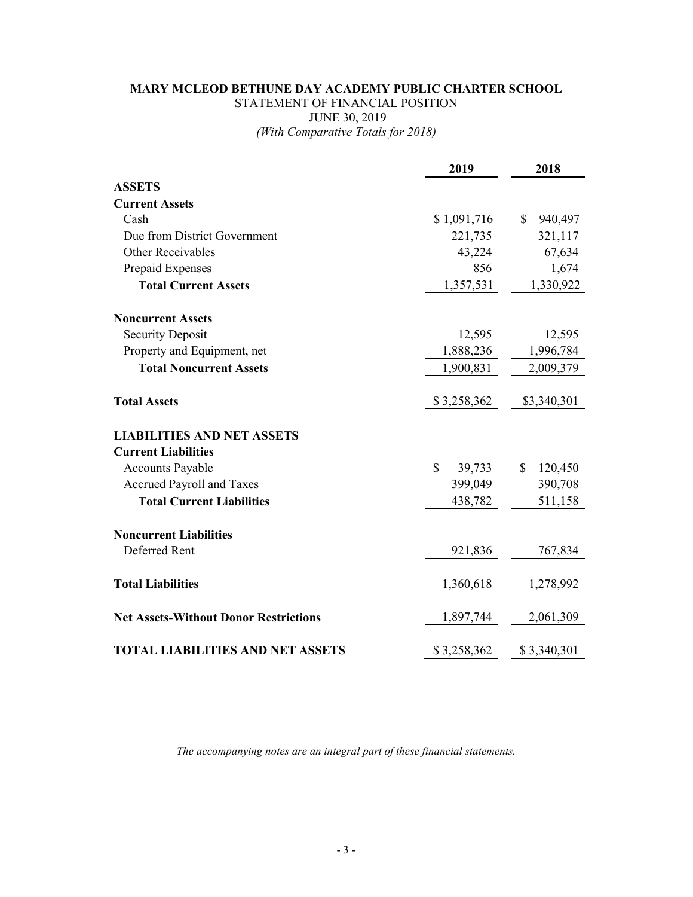# **MARY MCLEOD BETHUNE DAY ACADEMY PUBLIC CHARTER SCHOOL** STATEMENT OF FINANCIAL POSITION JUNE 30, 2019 *(With Comparative Totals for 2018)*

|                                              | 2019                  | 2018                    |
|----------------------------------------------|-----------------------|-------------------------|
| <b>ASSETS</b>                                |                       |                         |
| <b>Current Assets</b>                        |                       |                         |
| Cash                                         | \$1,091,716           | \$<br>940,497           |
| Due from District Government                 | 221,735               | 321,117                 |
| <b>Other Receivables</b>                     | 43,224                | 67,634                  |
| Prepaid Expenses                             | 856                   | 1,674                   |
| <b>Total Current Assets</b>                  | 1,357,531             | 1,330,922               |
| <b>Noncurrent Assets</b>                     |                       |                         |
| <b>Security Deposit</b>                      | 12,595                | 12,595                  |
| Property and Equipment, net                  | 1,888,236             | 1,996,784               |
| <b>Total Noncurrent Assets</b>               | 1,900,831             | 2,009,379               |
| <b>Total Assets</b>                          | \$3,258,362           | \$3,340,301             |
| <b>LIABILITIES AND NET ASSETS</b>            |                       |                         |
| <b>Current Liabilities</b>                   |                       |                         |
| <b>Accounts Payable</b>                      | $\mathbf S$<br>39,733 | $\mathbb{S}$<br>120,450 |
| Accrued Payroll and Taxes                    | 399,049               | 390,708                 |
| <b>Total Current Liabilities</b>             | 438,782               | 511,158                 |
| <b>Noncurrent Liabilities</b>                |                       |                         |
| Deferred Rent                                | 921,836               | 767,834                 |
| <b>Total Liabilities</b>                     | 1,360,618             | 1,278,992               |
| <b>Net Assets-Without Donor Restrictions</b> | 1,897,744             | 2,061,309               |
| <b>TOTAL LIABILITIES AND NET ASSETS</b>      | \$3,258,362           | \$3,340,301             |

*The accompanying notes are an integral part of these financial statements.*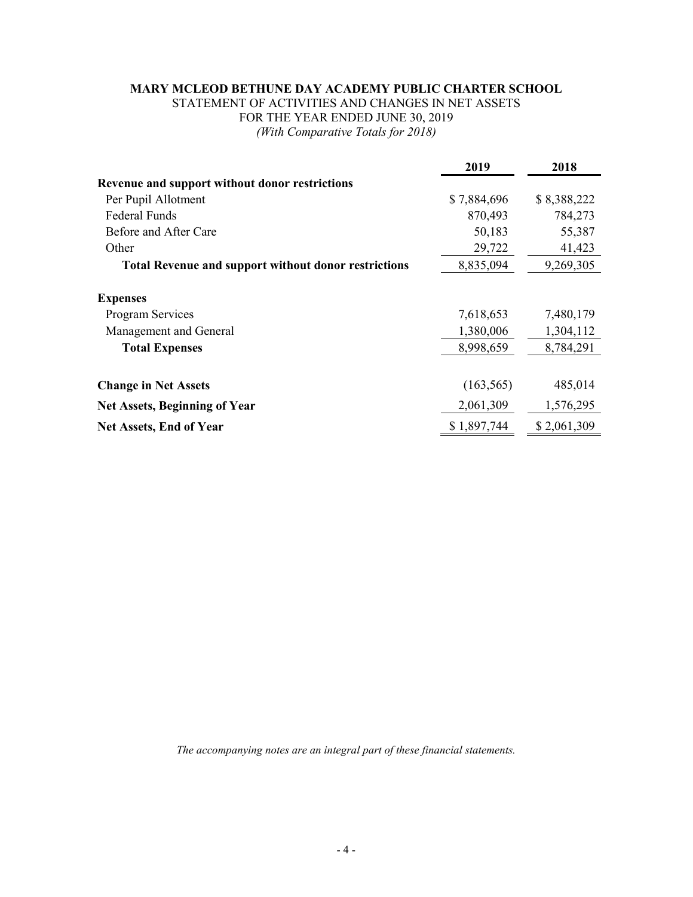# **MARY MCLEOD BETHUNE DAY ACADEMY PUBLIC CHARTER SCHOOL**

STATEMENT OF ACTIVITIES AND CHANGES IN NET ASSETS FOR THE YEAR ENDED JUNE 30, 2019 *(With Comparative Totals for 2018)*

|                                                             | 2019        | 2018        |
|-------------------------------------------------------------|-------------|-------------|
| Revenue and support without donor restrictions              |             |             |
| Per Pupil Allotment                                         | \$7,884,696 | \$8,388,222 |
| <b>Federal Funds</b>                                        | 870,493     | 784,273     |
| Before and After Care                                       | 50,183      | 55,387      |
| Other                                                       | 29,722      | 41,423      |
| <b>Total Revenue and support without donor restrictions</b> | 8,835,094   | 9,269,305   |
| <b>Expenses</b>                                             |             |             |
| <b>Program Services</b>                                     | 7,618,653   | 7,480,179   |
| Management and General                                      | 1,380,006   | 1,304,112   |
| <b>Total Expenses</b>                                       | 8,998,659   | 8,784,291   |
| <b>Change in Net Assets</b>                                 | (163, 565)  | 485,014     |
| <b>Net Assets, Beginning of Year</b>                        | 2,061,309   | 1,576,295   |
| <b>Net Assets, End of Year</b>                              | \$1,897,744 | \$2,061,309 |

*The accompanying notes are an integral part of these financial statements.*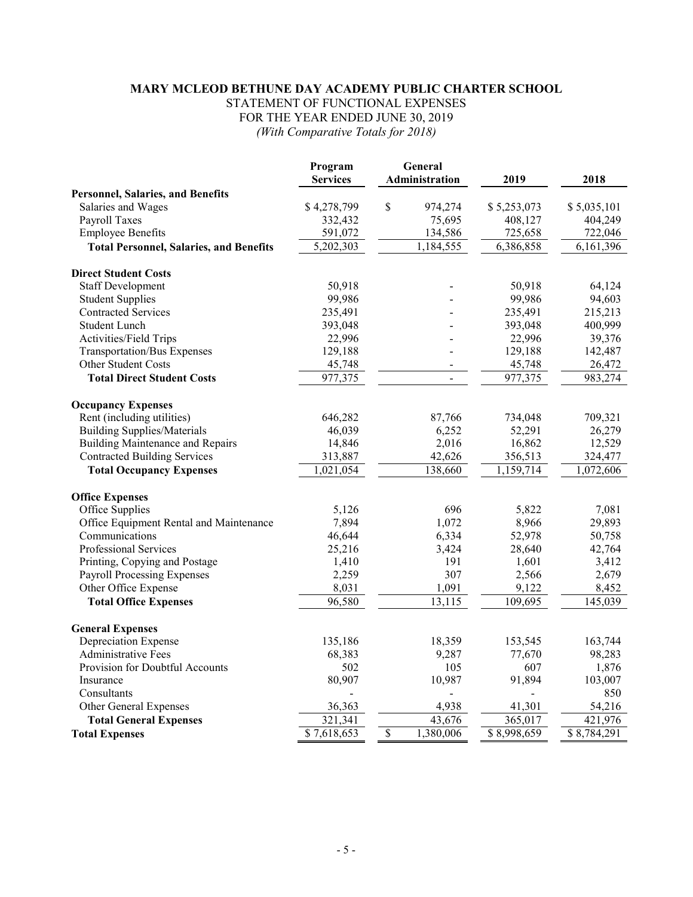## **MARY MCLEOD BETHUNE DAY ACADEMY PUBLIC CHARTER SCHOOL** STATEMENT OF FUNCTIONAL EXPENSES FOR THE YEAR ENDED JUNE 30, 2019 *(With Comparative Totals for 2018)*

|                                                | Program<br><b>Services</b> |                          | General<br>Administration | 2019        | 2018        |
|------------------------------------------------|----------------------------|--------------------------|---------------------------|-------------|-------------|
| <b>Personnel, Salaries, and Benefits</b>       |                            |                          |                           |             |             |
| Salaries and Wages                             | \$4,278,799                | \$                       | 974,274                   | \$5,253,073 | \$5,035,101 |
| Payroll Taxes                                  | 332,432                    |                          | 75,695                    | 408,127     | 404,249     |
| <b>Employee Benefits</b>                       | 591,072                    |                          | 134,586                   | 725,658     | 722,046     |
| <b>Total Personnel, Salaries, and Benefits</b> | 5,202,303                  |                          | 1,184,555                 | 6,386,858   | 6,161,396   |
| <b>Direct Student Costs</b>                    |                            |                          |                           |             |             |
| <b>Staff Development</b>                       | 50,918                     |                          |                           | 50,918      | 64,124      |
| <b>Student Supplies</b>                        | 99,986                     |                          |                           | 99,986      | 94,603      |
| <b>Contracted Services</b>                     | 235,491                    |                          |                           | 235,491     | 215,213     |
| <b>Student Lunch</b>                           | 393,048                    |                          |                           | 393,048     | 400,999     |
| Activities/Field Trips                         | 22,996                     |                          |                           | 22,996      | 39,376      |
| <b>Transportation/Bus Expenses</b>             | 129,188                    |                          |                           | 129,188     | 142,487     |
| Other Student Costs                            | 45,748                     |                          |                           | 45,748      | 26,472      |
| <b>Total Direct Student Costs</b>              | 977,375                    |                          | $\overline{a}$            | 977,375     | 983,274     |
| <b>Occupancy Expenses</b>                      |                            |                          |                           |             |             |
| Rent (including utilities)                     | 646,282                    |                          | 87,766                    | 734,048     | 709,321     |
| <b>Building Supplies/Materials</b>             | 46,039                     |                          | 6,252                     | 52,291      | 26,279      |
| <b>Building Maintenance and Repairs</b>        | 14,846                     |                          | 2,016                     | 16,862      | 12,529      |
| <b>Contracted Building Services</b>            | 313,887                    |                          | 42,626                    | 356,513     | 324,477     |
| <b>Total Occupancy Expenses</b>                | 1,021,054                  |                          | 138,660                   | 1,159,714   | 1,072,606   |
| <b>Office Expenses</b>                         |                            |                          |                           |             |             |
| Office Supplies                                | 5,126                      |                          | 696                       | 5,822       | 7,081       |
| Office Equipment Rental and Maintenance        | 7,894                      |                          | 1,072                     | 8,966       | 29,893      |
| Communications                                 | 46,644                     |                          | 6,334                     | 52,978      | 50,758      |
| Professional Services                          | 25,216                     |                          | 3,424                     | 28,640      | 42,764      |
| Printing, Copying and Postage                  | 1,410                      |                          | 191                       | 1,601       | 3,412       |
| <b>Payroll Processing Expenses</b>             | 2,259                      |                          | 307                       | 2,566       | 2,679       |
| Other Office Expense                           | 8,031                      |                          | 1,091                     | 9,122       | 8,452       |
| <b>Total Office Expenses</b>                   | 96,580                     |                          | 13,115                    | 109,695     | 145,039     |
| <b>General Expenses</b>                        |                            |                          |                           |             |             |
| Depreciation Expense                           | 135,186                    |                          | 18,359                    | 153,545     | 163,744     |
| <b>Administrative Fees</b>                     | 68,383                     |                          | 9,287                     | 77,670      | 98,283      |
| Provision for Doubtful Accounts                | 502                        |                          | 105                       | 607         | 1,876       |
| Insurance                                      | 80,907                     |                          | 10,987                    | 91,894      | 103,007     |
| Consultants                                    |                            |                          |                           |             | 850         |
| Other General Expenses                         | 36,363                     |                          | 4,938                     | 41,301      | 54,216      |
| <b>Total General Expenses</b>                  | 321,341                    |                          | 43,676                    | 365,017     | 421,976     |
| <b>Total Expenses</b>                          | \$7,618,653                | $\overline{\mathcal{S}}$ | 1,380,006                 | \$8,998,659 | \$8,784,291 |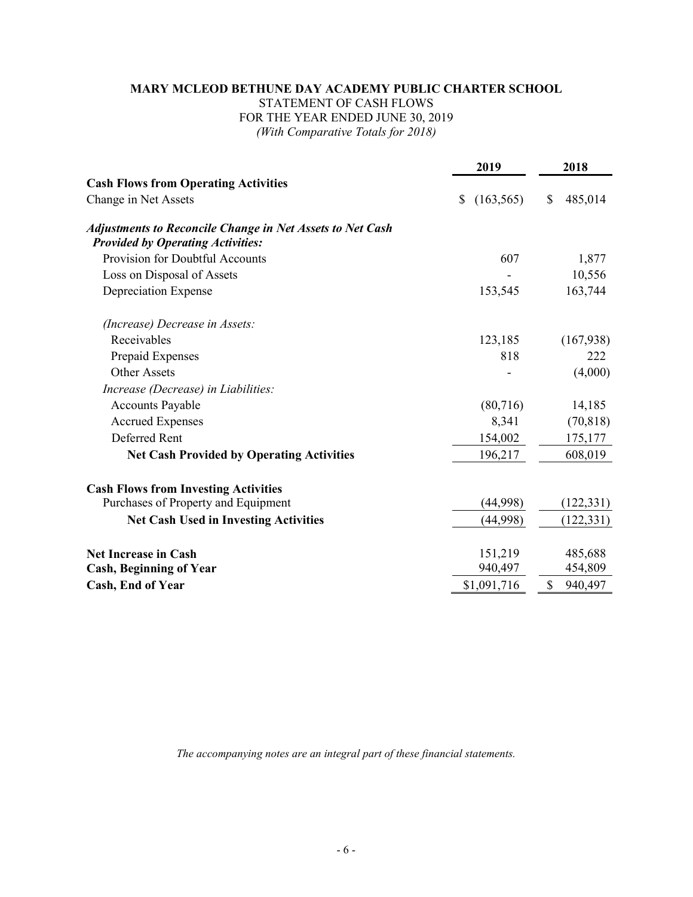# **MARY MCLEOD BETHUNE DAY ACADEMY PUBLIC CHARTER SCHOOL** STATEMENT OF CASH FLOWS FOR THE YEAR ENDED JUNE 30, 2019 *(With Comparative Totals for 2018)*

|                                                                                                       | 2019             | 2018                     |
|-------------------------------------------------------------------------------------------------------|------------------|--------------------------|
| <b>Cash Flows from Operating Activities</b>                                                           |                  |                          |
| Change in Net Assets                                                                                  | (163, 565)<br>\$ | $\mathsf{\$}$<br>485,014 |
| Adjustments to Reconcile Change in Net Assets to Net Cash<br><b>Provided by Operating Activities:</b> |                  |                          |
| <b>Provision for Doubtful Accounts</b>                                                                | 607              | 1,877                    |
| Loss on Disposal of Assets                                                                            |                  | 10,556                   |
| Depreciation Expense                                                                                  | 153,545          | 163,744                  |
| (Increase) Decrease in Assets:                                                                        |                  |                          |
| Receivables                                                                                           | 123,185          | (167, 938)               |
| Prepaid Expenses                                                                                      | 818              | 222                      |
| <b>Other Assets</b>                                                                                   |                  | (4,000)                  |
| Increase (Decrease) in Liabilities:                                                                   |                  |                          |
| <b>Accounts Payable</b>                                                                               | (80,716)         | 14,185                   |
| <b>Accrued Expenses</b>                                                                               | 8,341            | (70, 818)                |
| Deferred Rent                                                                                         | 154,002          | 175,177                  |
| <b>Net Cash Provided by Operating Activities</b>                                                      | 196,217          | 608,019                  |
| <b>Cash Flows from Investing Activities</b>                                                           |                  |                          |
| Purchases of Property and Equipment                                                                   | (44,998)         | (122, 331)               |
| <b>Net Cash Used in Investing Activities</b>                                                          | (44,998)         | (122, 331)               |
| <b>Net Increase in Cash</b>                                                                           | 151,219          | 485,688                  |
| <b>Cash, Beginning of Year</b>                                                                        | 940,497          | 454,809                  |
| Cash, End of Year                                                                                     | \$1,091,716      | $\mathcal{S}$<br>940,497 |

*The accompanying notes are an integral part of these financial statements.*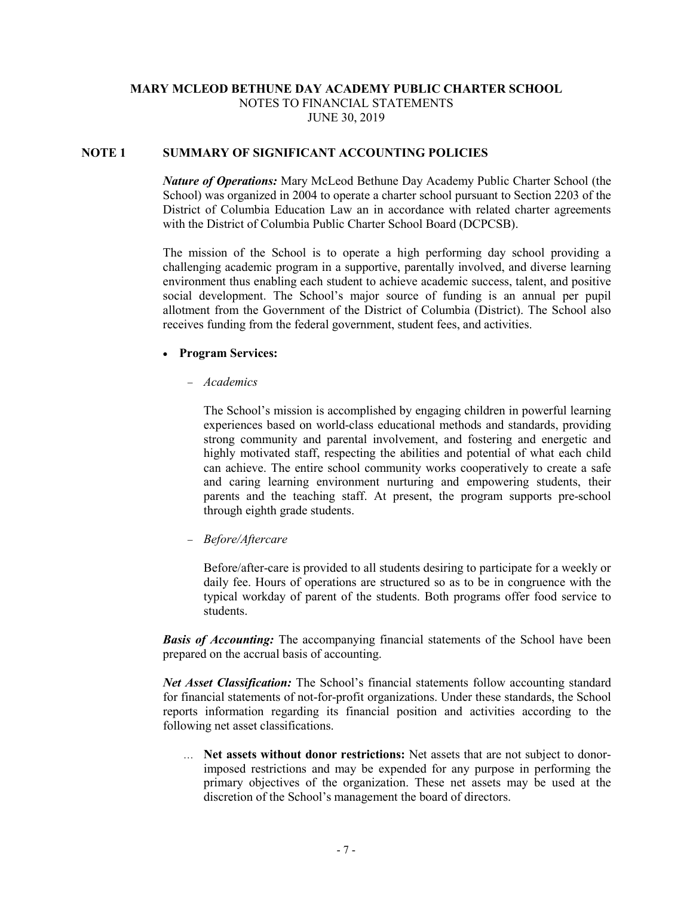## **MARY MCLEOD BETHUNE DAY ACADEMY PUBLIC CHARTER SCHOOL** NOTES TO FINANCIAL STATEMENTS JUNE 30, 2019

## **NOTE 1 SUMMARY OF SIGNIFICANT ACCOUNTING POLICIES**

*Nature of Operations:* Mary McLeod Bethune Day Academy Public Charter School (the School) was organized in 2004 to operate a charter school pursuant to Section 2203 of the District of Columbia Education Law an in accordance with related charter agreements with the District of Columbia Public Charter School Board (DCPCSB).

The mission of the School is to operate a high performing day school providing a challenging academic program in a supportive, parentally involved, and diverse learning environment thus enabling each student to achieve academic success, talent, and positive social development. The School's major source of funding is an annual per pupil allotment from the Government of the District of Columbia (District). The School also receives funding from the federal government, student fees, and activities.

#### • **Program Services:**

− *Academics*

The School's mission is accomplished by engaging children in powerful learning experiences based on world-class educational methods and standards, providing strong community and parental involvement, and fostering and energetic and highly motivated staff, respecting the abilities and potential of what each child can achieve. The entire school community works cooperatively to create a safe and caring learning environment nurturing and empowering students, their parents and the teaching staff. At present, the program supports pre-school through eighth grade students.

− *Before/Aftercare*

Before/after-care is provided to all students desiring to participate for a weekly or daily fee. Hours of operations are structured so as to be in congruence with the typical workday of parent of the students. Both programs offer food service to students.

*Basis of Accounting:* The accompanying financial statements of the School have been prepared on the accrual basis of accounting.

*Net Asset Classification:* The School's financial statements follow accounting standard for financial statements of not-for-profit organizations. Under these standards, the School reports information regarding its financial position and activities according to the following net asset classifications.

… **Net assets without donor restrictions:** Net assets that are not subject to donorimposed restrictions and may be expended for any purpose in performing the primary objectives of the organization. These net assets may be used at the discretion of the School's management the board of directors.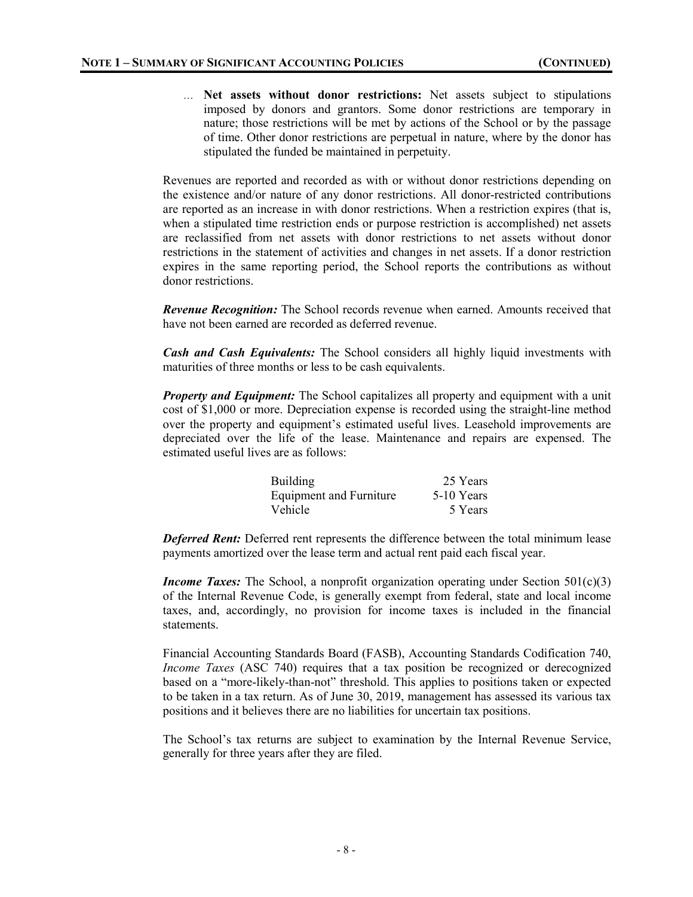… **Net assets without donor restrictions:** Net assets subject to stipulations imposed by donors and grantors. Some donor restrictions are temporary in nature; those restrictions will be met by actions of the School or by the passage of time. Other donor restrictions are perpetual in nature, where by the donor has stipulated the funded be maintained in perpetuity.

Revenues are reported and recorded as with or without donor restrictions depending on the existence and/or nature of any donor restrictions. All donor-restricted contributions are reported as an increase in with donor restrictions. When a restriction expires (that is, when a stipulated time restriction ends or purpose restriction is accomplished) net assets are reclassified from net assets with donor restrictions to net assets without donor restrictions in the statement of activities and changes in net assets. If a donor restriction expires in the same reporting period, the School reports the contributions as without donor restrictions.

*Revenue Recognition:* The School records revenue when earned. Amounts received that have not been earned are recorded as deferred revenue.

*Cash and Cash Equivalents:* The School considers all highly liquid investments with maturities of three months or less to be cash equivalents.

*Property and Equipment:* The School capitalizes all property and equipment with a unit cost of \$1,000 or more. Depreciation expense is recorded using the straight-line method over the property and equipment's estimated useful lives. Leasehold improvements are depreciated over the life of the lease. Maintenance and repairs are expensed. The estimated useful lives are as follows:

| <b>Building</b>                | 25 Years   |
|--------------------------------|------------|
| <b>Equipment and Furniture</b> | 5-10 Years |
| Vehicle                        | 5 Years    |

**Deferred Rent:** Deferred rent represents the difference between the total minimum lease payments amortized over the lease term and actual rent paid each fiscal year.

*Income Taxes:* The School, a nonprofit organization operating under Section  $501(c)(3)$ of the Internal Revenue Code, is generally exempt from federal, state and local income taxes, and, accordingly, no provision for income taxes is included in the financial statements.

Financial Accounting Standards Board (FASB), Accounting Standards Codification 740, *Income Taxes* (ASC 740) requires that a tax position be recognized or derecognized based on a "more-likely-than-not" threshold. This applies to positions taken or expected to be taken in a tax return. As of June 30, 2019, management has assessed its various tax positions and it believes there are no liabilities for uncertain tax positions.

The School's tax returns are subject to examination by the Internal Revenue Service, generally for three years after they are filed.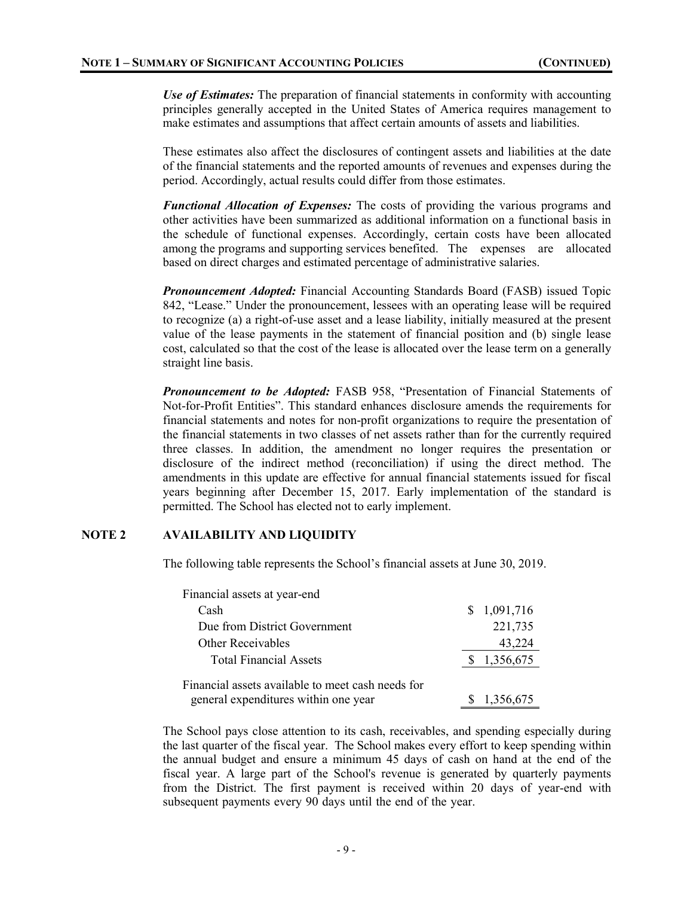*Use of Estimates:* The preparation of financial statements in conformity with accounting principles generally accepted in the United States of America requires management to make estimates and assumptions that affect certain amounts of assets and liabilities.

These estimates also affect the disclosures of contingent assets and liabilities at the date of the financial statements and the reported amounts of revenues and expenses during the period. Accordingly, actual results could differ from those estimates.

*Functional Allocation of Expenses:* The costs of providing the various programs and other activities have been summarized as additional information on a functional basis in the schedule of functional expenses. Accordingly, certain costs have been allocated among the programs and supporting services benefited. The expenses are allocated based on direct charges and estimated percentage of administrative salaries.

*Pronouncement Adopted:* Financial Accounting Standards Board (FASB) issued Topic 842, "Lease." Under the pronouncement, lessees with an operating lease will be required to recognize (a) a right-of-use asset and a lease liability, initially measured at the present value of the lease payments in the statement of financial position and (b) single lease cost, calculated so that the cost of the lease is allocated over the lease term on a generally straight line basis.

*Pronouncement to be Adopted:* FASB 958, "Presentation of Financial Statements of Not-for-Profit Entities". This standard enhances disclosure amends the requirements for financial statements and notes for non-profit organizations to require the presentation of the financial statements in two classes of net assets rather than for the currently required three classes. In addition, the amendment no longer requires the presentation or disclosure of the indirect method (reconciliation) if using the direct method. The amendments in this update are effective for annual financial statements issued for fiscal years beginning after December 15, 2017. Early implementation of the standard is permitted. The School has elected not to early implement.

## **NOTE 2 AVAILABILITY AND LIQUIDITY**

The following table represents the School's financial assets at June 30, 2019.

| Financial assets at year-end                      |             |
|---------------------------------------------------|-------------|
| Cash                                              | \$1,091,716 |
| Due from District Government                      | 221,735     |
| Other Receivables                                 | 43,224      |
| <b>Total Financial Assets</b>                     | \$1,356,675 |
| Financial assets available to meet cash needs for |             |
| general expenditures within one year              | \$1,356,675 |

The School pays close attention to its cash, receivables, and spending especially during the last quarter of the fiscal year. The School makes every effort to keep spending within the annual budget and ensure a minimum 45 days of cash on hand at the end of the fiscal year. A large part of the School's revenue is generated by quarterly payments from the District. The first payment is received within 20 days of year-end with subsequent payments every 90 days until the end of the year.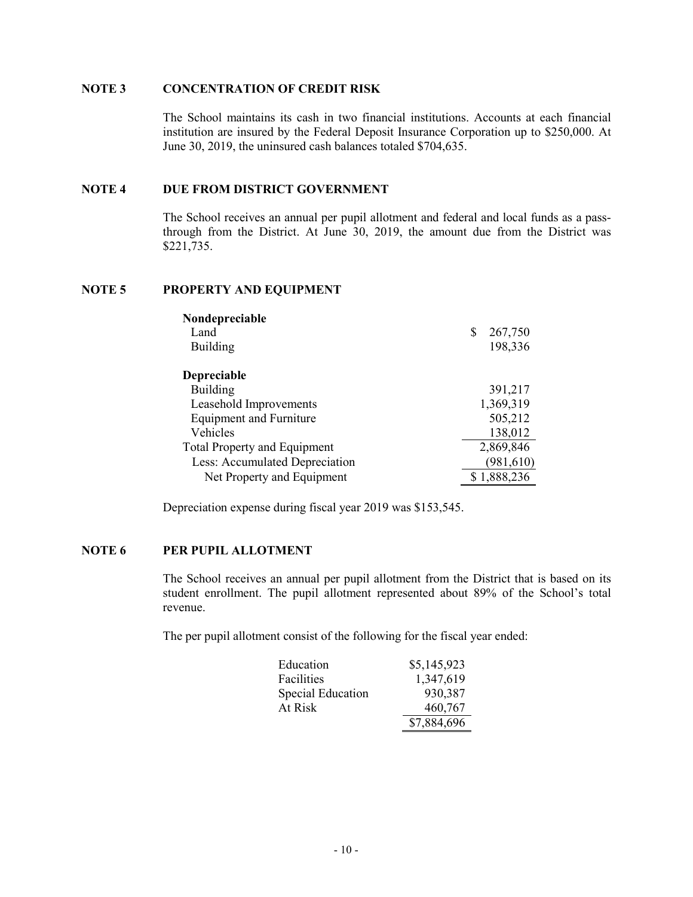#### **NOTE 3 CONCENTRATION OF CREDIT RISK**

The School maintains its cash in two financial institutions. Accounts at each financial institution are insured by the Federal Deposit Insurance Corporation up to \$250,000. At June 30, 2019, the uninsured cash balances totaled \$704,635.

#### **NOTE 4 DUE FROM DISTRICT GOVERNMENT**

The School receives an annual per pupil allotment and federal and local funds as a passthrough from the District. At June 30, 2019, the amount due from the District was \$221,735.

## **NOTE 5 PROPERTY AND EQUIPMENT**

| Nondepreciable                      |              |
|-------------------------------------|--------------|
| Land                                | 267,750<br>S |
| <b>Building</b>                     | 198,336      |
| <b>Depreciable</b>                  |              |
| <b>Building</b>                     | 391,217      |
| Leasehold Improvements              | 1,369,319    |
| <b>Equipment and Furniture</b>      | 505,212      |
| Vehicles                            | 138,012      |
| <b>Total Property and Equipment</b> | 2,869,846    |
| Less: Accumulated Depreciation      | (981, 610)   |
| Net Property and Equipment          | \$1,888,236  |

Depreciation expense during fiscal year 2019 was \$153,545.

#### **NOTE 6 PER PUPIL ALLOTMENT**

The School receives an annual per pupil allotment from the District that is based on its student enrollment. The pupil allotment represented about 89% of the School's total revenue.

The per pupil allotment consist of the following for the fiscal year ended:

| Education         | \$5,145,923 |
|-------------------|-------------|
| Facilities        | 1,347,619   |
| Special Education | 930,387     |
| At Risk           | 460,767     |
|                   | \$7,884,696 |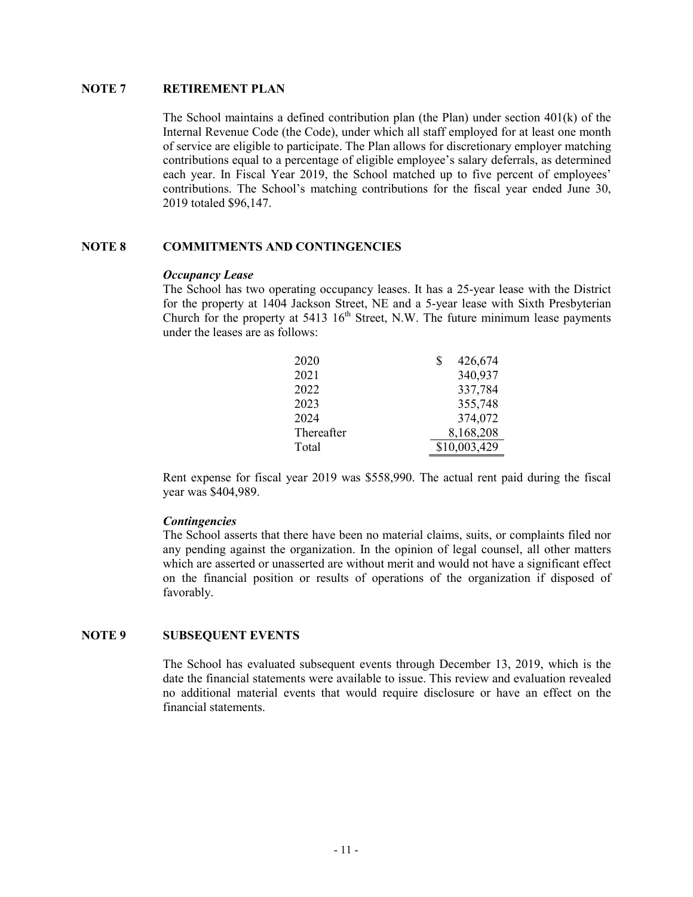#### **NOTE 7 RETIREMENT PLAN**

The School maintains a defined contribution plan (the Plan) under section  $401(k)$  of the Internal Revenue Code (the Code), under which all staff employed for at least one month of service are eligible to participate. The Plan allows for discretionary employer matching contributions equal to a percentage of eligible employee's salary deferrals, as determined each year. In Fiscal Year 2019, the School matched up to five percent of employees' contributions. The School's matching contributions for the fiscal year ended June 30, 2019 totaled \$96,147.

## **NOTE 8 COMMITMENTS AND CONTINGENCIES**

#### *Occupancy Lease*

The School has two operating occupancy leases. It has a 25-year lease with the District for the property at 1404 Jackson Street, NE and a 5-year lease with Sixth Presbyterian Church for the property at 5413  $16<sup>th</sup>$  Street, N.W. The future minimum lease payments under the leases are as follows:

| 2020       | 426,674<br>S |
|------------|--------------|
| 2021       | 340,937      |
| 2022       | 337,784      |
| 2023       | 355,748      |
| 2024       | 374,072      |
| Thereafter | 8,168,208    |
| Total      | \$10,003,429 |

Rent expense for fiscal year 2019 was \$558,990. The actual rent paid during the fiscal year was \$404,989.

## *Contingencies*

The School asserts that there have been no material claims, suits, or complaints filed nor any pending against the organization. In the opinion of legal counsel, all other matters which are asserted or unasserted are without merit and would not have a significant effect on the financial position or results of operations of the organization if disposed of favorably.

## **NOTE 9 SUBSEQUENT EVENTS**

The School has evaluated subsequent events through December 13, 2019, which is the date the financial statements were available to issue. This review and evaluation revealed no additional material events that would require disclosure or have an effect on the financial statements.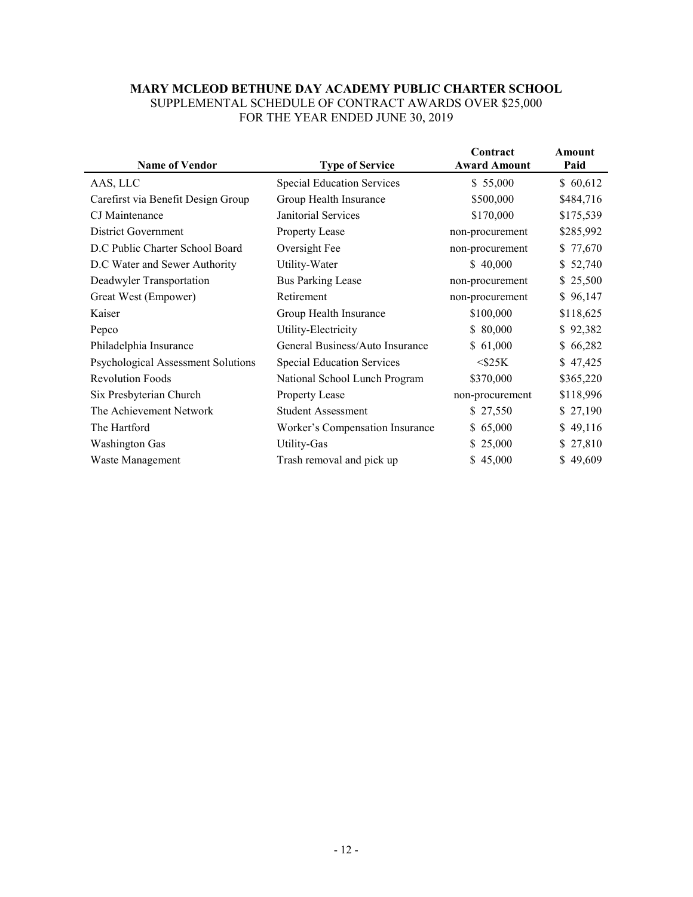#### **MARY MCLEOD BETHUNE DAY ACADEMY PUBLIC CHARTER SCHOOL** SUPPLEMENTAL SCHEDULE OF CONTRACT AWARDS OVER \$25,000 FOR THE YEAR ENDED JUNE 30, 2019

| <b>Name of Vendor</b>                     | <b>Type of Service</b>            | Contract<br><b>Award Amount</b> | Amount<br>Paid |
|-------------------------------------------|-----------------------------------|---------------------------------|----------------|
| AAS, LLC                                  | <b>Special Education Services</b> | \$55,000                        | \$60,612       |
| Carefirst via Benefit Design Group        | Group Health Insurance            | \$500,000                       | \$484,716      |
| CJ Maintenance                            | Janitorial Services               | \$170,000                       | \$175,539      |
| District Government                       | Property Lease                    | non-procurement                 | \$285,992      |
| D.C Public Charter School Board           | Oversight Fee                     | non-procurement                 | \$77,670       |
| D.C Water and Sewer Authority             | Utility-Water                     | \$40,000                        | \$52,740       |
| Deadwyler Transportation                  | <b>Bus Parking Lease</b>          | non-procurement                 | \$25,500       |
| Great West (Empower)                      | Retirement                        | non-procurement                 | \$96,147       |
| Kaiser                                    | Group Health Insurance            | \$100,000                       | \$118,625      |
| Pepco                                     | Utility-Electricity               | \$80,000                        | \$92,382       |
| Philadelphia Insurance                    | General Business/Auto Insurance   | \$61,000                        | \$66,282       |
| <b>Psychological Assessment Solutions</b> | <b>Special Education Services</b> | $<$ \$25K                       | \$47,425       |
| <b>Revolution Foods</b>                   | National School Lunch Program     | \$370,000                       | \$365,220      |
| Six Presbyterian Church                   | Property Lease                    | non-procurement                 | \$118,996      |
| The Achievement Network                   | <b>Student Assessment</b>         | \$27,550                        | \$27,190       |
| The Hartford                              | Worker's Compensation Insurance   | \$65,000                        | \$49,116       |
| <b>Washington Gas</b>                     | Utility-Gas                       | \$25,000                        | \$27,810       |
| Waste Management                          | Trash removal and pick up         | \$45,000                        | \$49,609       |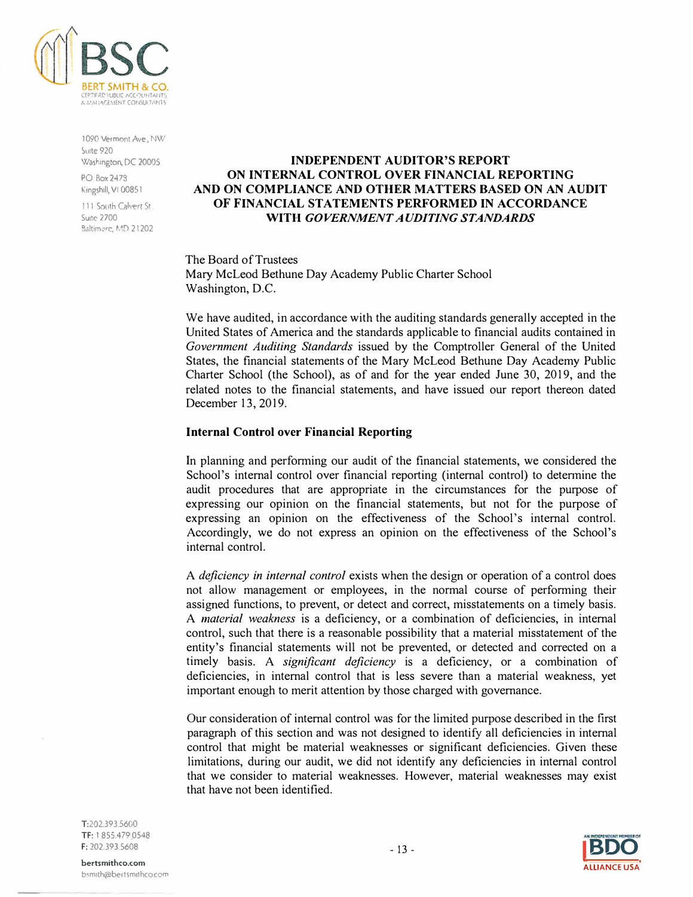

1090 Vermont Ave. NW Suite 920 Washington, DC 20005

PO Box2478 Kingshili, VI 00851

111 South Calvert St **Suite 2700** Baltimore, MD 21202

## **INDEPENDENT AUDITOR'S REPORT ON INTERNAL CONTROL OVER FINANCIAL REPORTING AND ON COMPLIANCE AND OTHER MATTERS BASED ON AN AUDIT OF FINANCIAL STATEMENTS PERFORMED IN ACCORDANCE WITH** *GOVERNMENT AUDITING STANDARDS*

The Board of Trustees Mary McLeod Bethune Day Academy Public Charter School Washington, D.C.

We have audited, in accordance with the auditing standards generally accepted in the United States of America and the standards applicable to financial audits contained in *Government Auditing Standards* issued by the Comptroller General of the United States, the financial statements of the Mary McLeod Bethune Day Academy Public Charter School (the School), as of and for the year ended June 30, 2019, and the related notes to the financial statements, and have issued our report thereon dated December 13, 2019.

#### **Internal Control over Financial Reporting**

In planning and per<sup>f</sup>orming our audit of the financial statements, we considered the School's internal control over financial reporting (internal control) to detennine the audit procedures that are appropriate in the circumstances for the purpose of expressing our opinion on the financial statements, but not for the purpose of expressing an opinion on the effectiveness of the School's internal control. Accordingly, we do not express an opinion on the effectiveness of the School's internal control.

A *deficiency in internal control* exists when the design or operation of a control does not allow management or employees, in the normal course of performing their assigned functions, to prevent, or detect and correct, misstatements on a timely basis. A *material weakness* is a deficiency, or a combination of deficiencies, in internal control, such that there is a reasonable possibility that a material misstatement of the entity's financial statements will not be prevented, or detected and corrected on a timely basis. A *significant deficiency* is a deficiency, or a combination of deficiencies, in internal control that is less severe than a material weakness, yet important enough to merit attention by those charged with governance.

Our consideration of internal control was for the limited purpose described in the first paragraph of this section and was not designed to identify all deficiencies in internal control that might be material weaknesses or significant deficiencies. Given these limitations, during our audit, we did not identify any deficiencies in internal control that we consider to material weaknesses. However, material weaknesses may exist that have not been identified.

T:202.393.5600 TF: 1 855.479 0548 F: 202.393.5608

- 13 - **IBDO**  ALLIANCE USA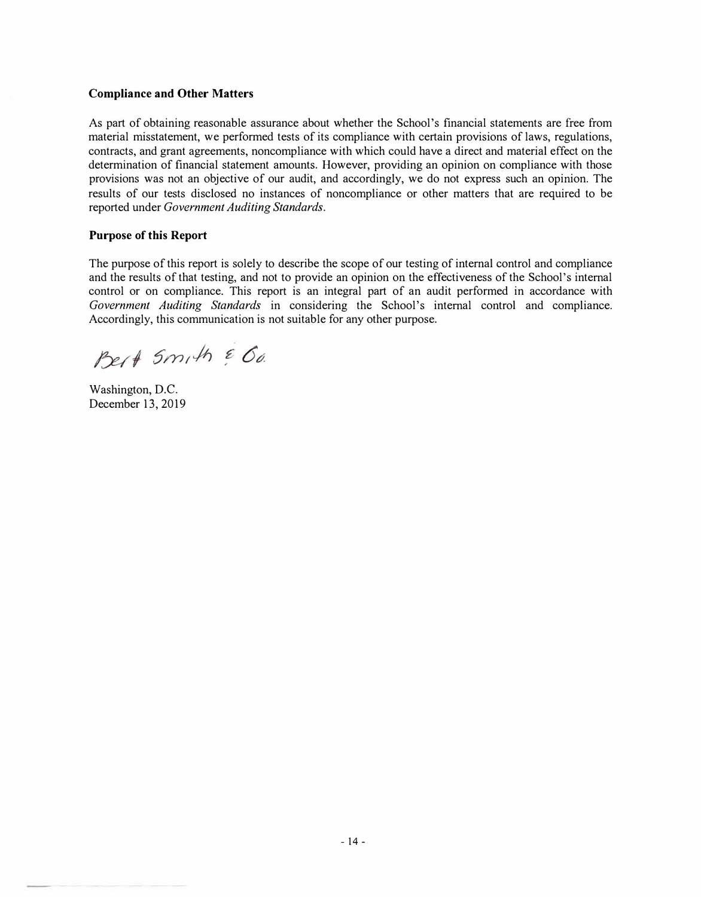## **Compliance and Other Matters**

As part of obtaining reasonable assurance about whether the School's financial statements are free from material misstatement, we performed tests of its compliance with certain provisions of laws, regulations, contracts, and grant agreements, noncompliance with which could have a direct and material effect on the determination of financial statement amounts. However, providing an opinion on compliance with those provisions was not an objective of our audit, and accordingly, we do not express such an opinion. The results of our tests disclosed no instances of noncompliance or other matters that are required to be reported under *Government Auditing Standards.* 

#### **Purpose of this Report**

The purpose of this report is solely to describe the scope of our testing of internal control and compliance and the results of that testing, and not to provide an opinion on the effectiveness of the School's internal control or on compliance. This report is an integral part of an audit performed in accordance with *Government Auditing Standards* in considering the School's internal control and compliance. Accordingly, this communication is not suitable for any other purpose.

Pert 5mith & 60.

Washington, D.C. December 13, 2019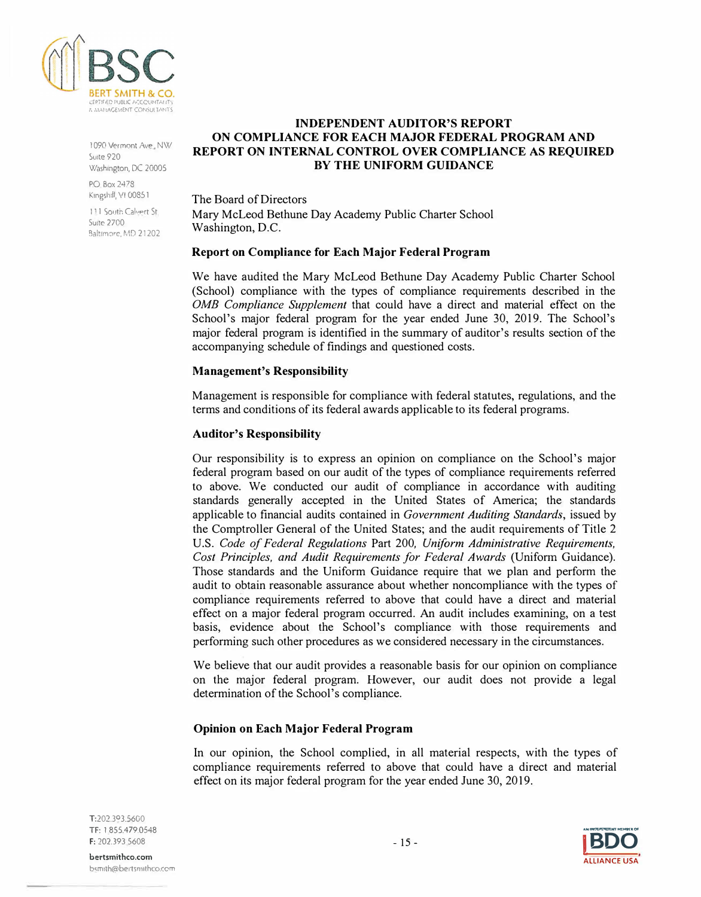

1 090 Vermont Ave, NW Suite 920 Washington, DC 20005

PO Box 2478 Kingshill, VI 00851

111 South Calvert St. **Suite 2700** Baltimore, MD 21202

## **INDEPENDENT AUDITOR'S REPORT ON COMPLIANCE FOR EACH MAJOR FEDERAL PROGRAM AND REPORT ON INTERNAL CONTROL OVER COMPLIANCE AS REQUIRED BY THE UNIFORM GUIDANCE**

The Board of Directors Mary McLeod Bethune Day Academy Public Charter School Washington, D.C.

## **Report on Compliance for Each Major Federal Program**

We have audited the Mary McLeod Bethune Day Academy Public Charter School (School) compliance with the types of compliance requirements described in the *0MB Compliance Supplement* that could have a direct and material effect on the School's major federal program for the year ended June 30, 2019. The School's major federal program is identified in the summary of auditor's results section of the accompanying schedule of findings and questioned costs.

## **Management's Responsibility**

Management is responsible for compliance with federal statutes, regulations, and the terms and conditions of its federal awards applicable to its federal programs.

## **Auditor's Responsibility**

Our responsibility is to express an opinion on compliance on the School's major federal program based on our audit of the types of compliance requirements referred to above. We conducted our audit of compliance in accordance with auditing standards generally accepted in the United States of America; the standards applicable to financial audits contained in *Government Auditing Standards,* issued by the Comptroller General of the United States; and the audit requirements of Title 2 U.S. *Code of Federal Regulations* Part 200, *Uniform Administrative Requirements, Cost Principles, and Audit Requirements for Federal Awards* (Uniform Guidance). Those standards and the Uniform Guidance require that we plan and perform the audit to obtain reasonable assurance about whether noncompliance with the types of compliance requirements referred to above that could have a direct and material effect on a major federal program occurred. An audit includes examining, on a test basis, evidence about the School's compliance with those requirements and performing such other procedures as we considered necessary in the circumstances.

We believe that our audit provides a reasonable basis for our opinion on compliance on the major federal program. However, our audit does not provide a legal determination of the School's compliance.

## **Opinion on Each Major Federal Program**

In our opinion, the School complied, in all material respects, with the types of compliance requirements referred to above that could have a direct and material effect on its major federal program for the year ended June 30, 2019.

T:202.3°3.5600 TF: 1 855.479.0548 F: 202.393 5608

**AN INVERTIBILITY MEMBER OF** - 15 - **IBDO ALLIANCE USA**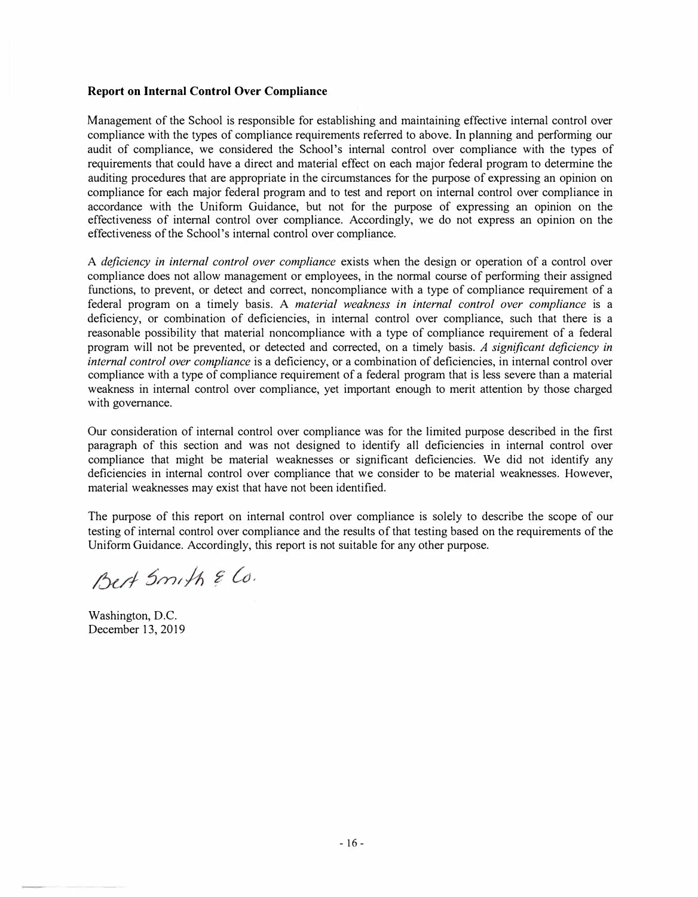## **Report on Internal Control Over Compliance**

Management of the School is responsible for establishing and maintaining effective internal control over compliance with the types of compliance requirements referred to above. In planning and performing our audit of compliance, we considered the School's internal control over compliance with the types of requirements that could have a direct and material effect on each major federal program to determine the auditing procedures that are appropriate in the circumstances for the purpose of expressing an opinion on compliance for each major federal program and to test and report on internal control over compliance in accordance with the Uniform Guidance, but not for the purpose of expressing an opinion on the effectiveness of internal control over compliance. Accordingly, we do not express an opinion on the effectiveness of the School's internal control over compliance.

A *deficiency in internal control over compliance* exists when the design or operation of a control over compliance does not allow management or employees, in the normal course of performing their assigned functions, to prevent, or detect and correct, noncompliance with a type of compliance requirement of a federal program on a timely basis. A *material weakness in internal control over compliance* is a deficiency, or combination of deficiencies, in internal control over compliance, such that there is a reasonable possibility that material noncompliance with a type of compliance requirement of a federal program will not be prevented, or detected and corrected, on a timely basis. *A significant deficiency in internal control over compliance* is a deficiency, or a combination of deficiencies, in internal control over compliance with a type of compliance requirement of a federal program that is less severe than a material weakness in internal control over compliance, yet important enough to merit attention by those charged with governance.

Our consideration of internal control over compliance was for the limited purpose described in the first paragraph of this section and was not designed to identify all deficiencies in internal control over compliance that might be material weaknesses or significant deficiencies. We did not identify any deficiencies in internal control over compliance that we consider to be material weaknesses. However, material weaknesses may exist that have not been identified.

The purpose of this report on internal control over compliance is solely to describe the scope of our testing of internal control over compliance and the results of that testing based on the requirements of the Uniform Guidance. Accordingly, this report is not suitable for any other purpose.

Best Smith & Co.

Washington, D.C. December 13, 2019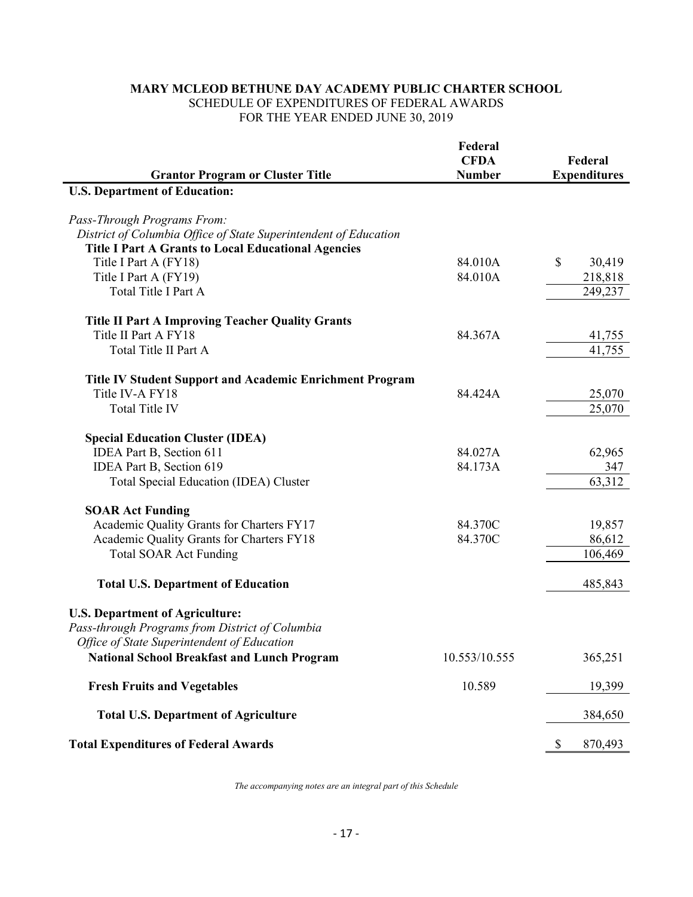## **MARY MCLEOD BETHUNE DAY ACADEMY PUBLIC CHARTER SCHOOL** SCHEDULE OF EXPENDITURES OF FEDERAL AWARDS FOR THE YEAR ENDED JUNE 30, 2019

|                                                                  | Federal<br><b>CFDA</b> | Federal                 |
|------------------------------------------------------------------|------------------------|-------------------------|
| <b>Grantor Program or Cluster Title</b>                          | <b>Number</b>          | <b>Expenditures</b>     |
| <b>U.S. Department of Education:</b>                             |                        |                         |
| Pass-Through Programs From:                                      |                        |                         |
| District of Columbia Office of State Superintendent of Education |                        |                         |
| <b>Title I Part A Grants to Local Educational Agencies</b>       |                        |                         |
| Title I Part A (FY18)                                            | 84.010A                | $\mathcal{S}$<br>30,419 |
| Title I Part A (FY19)                                            | 84.010A                | 218,818                 |
| Total Title I Part A                                             |                        | 249,237                 |
|                                                                  |                        |                         |
| <b>Title II Part A Improving Teacher Quality Grants</b>          |                        |                         |
| Title II Part A FY18                                             | 84.367A                | 41,755                  |
| Total Title II Part A                                            |                        | 41,755                  |
|                                                                  |                        |                         |
| Title IV Student Support and Academic Enrichment Program         |                        |                         |
| Title IV-A FY18                                                  | 84.424A                | 25,070                  |
| Total Title IV                                                   |                        | 25,070                  |
|                                                                  |                        |                         |
| <b>Special Education Cluster (IDEA)</b>                          |                        |                         |
| IDEA Part B, Section 611                                         | 84.027A                | 62,965                  |
| IDEA Part B, Section 619                                         | 84.173A                | 347                     |
| Total Special Education (IDEA) Cluster                           |                        | 63,312                  |
|                                                                  |                        |                         |
| <b>SOAR Act Funding</b>                                          |                        |                         |
| Academic Quality Grants for Charters FY17                        | 84.370C                | 19,857                  |
| Academic Quality Grants for Charters FY18                        | 84.370C                | 86,612                  |
| <b>Total SOAR Act Funding</b>                                    |                        | 106,469                 |
| <b>Total U.S. Department of Education</b>                        |                        | 485,843                 |
|                                                                  |                        |                         |
| <b>U.S. Department of Agriculture:</b>                           |                        |                         |
| Pass-through Programs from District of Columbia                  |                        |                         |
| Office of State Superintendent of Education                      |                        |                         |
| <b>National School Breakfast and Lunch Program</b>               | 10.553/10.555          | 365,251                 |
| <b>Fresh Fruits and Vegetables</b>                               | 10.589                 | 19,399                  |
| <b>Total U.S. Department of Agriculture</b>                      |                        | 384,650                 |
|                                                                  |                        |                         |
| <b>Total Expenditures of Federal Awards</b>                      |                        | \$<br>870,493           |

*The accompanying notes are an integral part of this Schedule*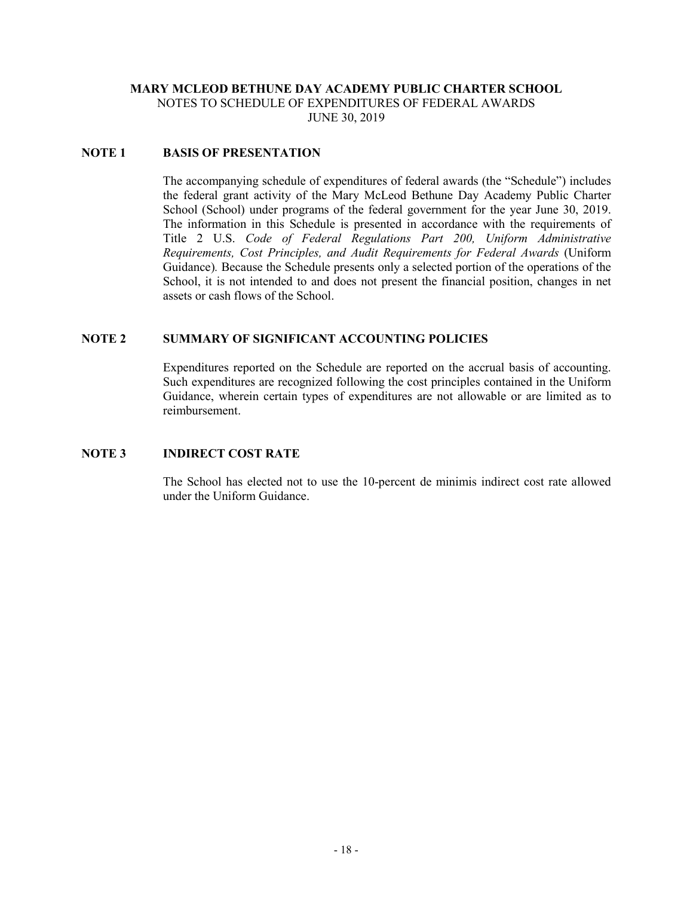# **MARY MCLEOD BETHUNE DAY ACADEMY PUBLIC CHARTER SCHOOL** NOTES TO SCHEDULE OF EXPENDITURES OF FEDERAL AWARDS

JUNE 30, 2019

## **NOTE 1 BASIS OF PRESENTATION**

The accompanying schedule of expenditures of federal awards (the "Schedule") includes the federal grant activity of the Mary McLeod Bethune Day Academy Public Charter School (School) under programs of the federal government for the year June 30, 2019. The information in this Schedule is presented in accordance with the requirements of Title 2 U.S. *Code of Federal Regulations Part 200, Uniform Administrative Requirements, Cost Principles, and Audit Requirements for Federal Awards* (Uniform Guidance)*.* Because the Schedule presents only a selected portion of the operations of the School, it is not intended to and does not present the financial position, changes in net assets or cash flows of the School.

## **NOTE 2 SUMMARY OF SIGNIFICANT ACCOUNTING POLICIES**

Expenditures reported on the Schedule are reported on the accrual basis of accounting. Such expenditures are recognized following the cost principles contained in the Uniform Guidance, wherein certain types of expenditures are not allowable or are limited as to reimbursement.

## **NOTE 3 INDIRECT COST RATE**

The School has elected not to use the 10-percent de minimis indirect cost rate allowed under the Uniform Guidance.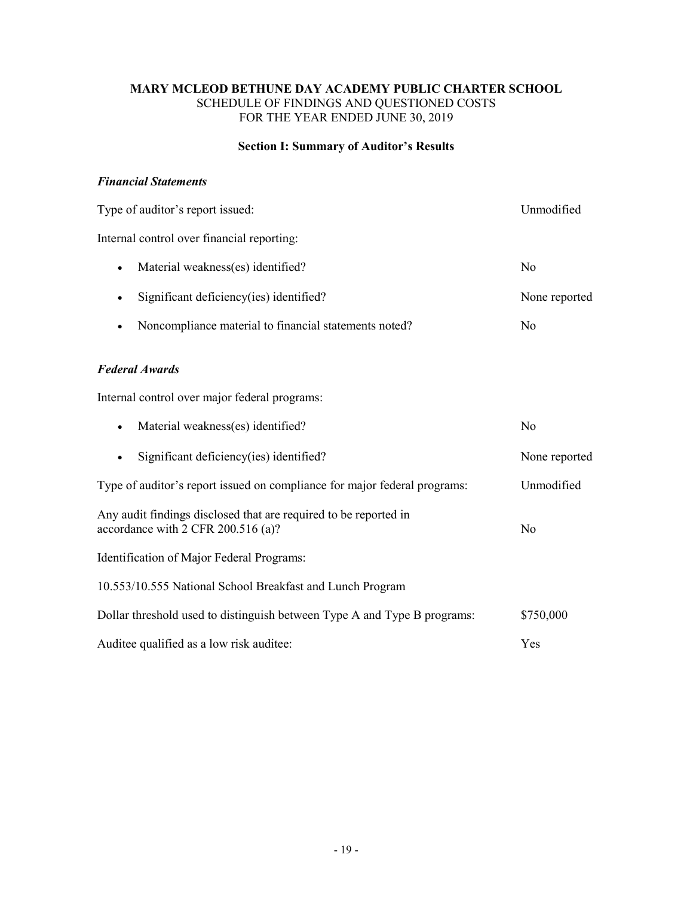## **MARY MCLEOD BETHUNE DAY ACADEMY PUBLIC CHARTER SCHOOL** SCHEDULE OF FINDINGS AND QUESTIONED COSTS FOR THE YEAR ENDED JUNE 30, 2019

# **Section I: Summary of Auditor's Results**

## *Financial Statements*

| Type of auditor's report issued:                                                                       | Unmodified     |  |
|--------------------------------------------------------------------------------------------------------|----------------|--|
| Internal control over financial reporting:                                                             |                |  |
| Material weakness(es) identified?<br>$\bullet$                                                         | N <sub>o</sub> |  |
| Significant deficiency(ies) identified?<br>$\bullet$                                                   | None reported  |  |
| Noncompliance material to financial statements noted?                                                  | N <sub>0</sub> |  |
| <b>Federal Awards</b>                                                                                  |                |  |
| Internal control over major federal programs:                                                          |                |  |
| Material weakness(es) identified?<br>$\bullet$                                                         | N <sub>0</sub> |  |
| Significant deficiency(ies) identified?                                                                | None reported  |  |
| Type of auditor's report issued on compliance for major federal programs:                              | Unmodified     |  |
| Any audit findings disclosed that are required to be reported in<br>accordance with 2 CFR 200.516 (a)? | N <sub>0</sub> |  |
| Identification of Major Federal Programs:                                                              |                |  |
| 10.553/10.555 National School Breakfast and Lunch Program                                              |                |  |
| Dollar threshold used to distinguish between Type A and Type B programs:                               | \$750,000      |  |
| Auditee qualified as a low risk auditee:                                                               | Yes            |  |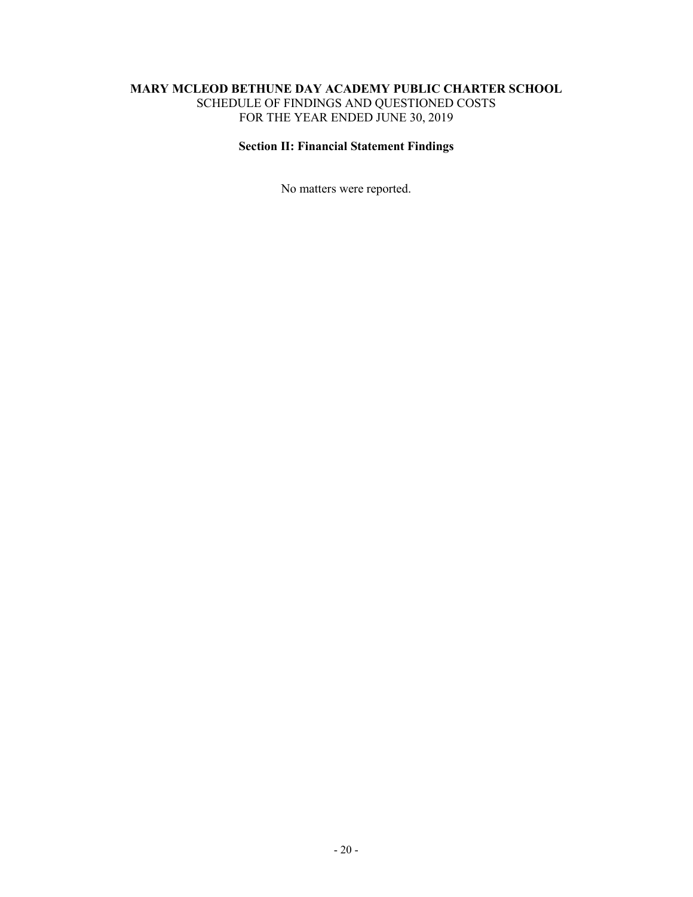## **MARY MCLEOD BETHUNE DAY ACADEMY PUBLIC CHARTER SCHOOL** SCHEDULE OF FINDINGS AND QUESTIONED COSTS FOR THE YEAR ENDED JUNE 30, 2019

# **Section II: Financial Statement Findings**

No matters were reported.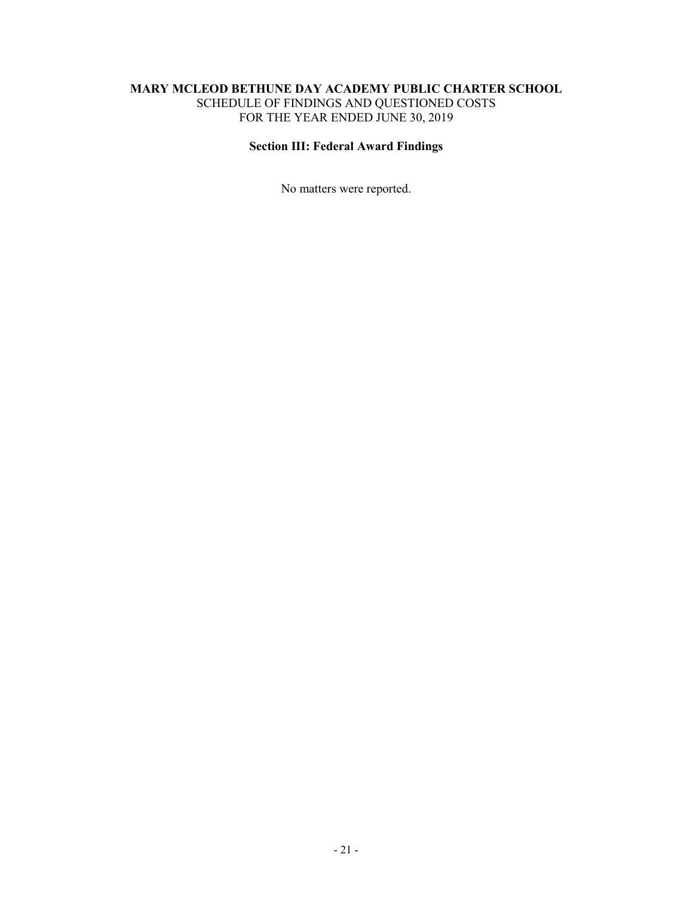## **MARY MCLEOD BETHUNE DAY ACADEMY PUBLIC CHARTER SCHOOL** SCHEDULE OF FINDINGS AND QUESTIONED COSTS FOR THE YEAR ENDED JUNE 30, 2019

# **Section III: Federal Award Findings**

No matters were reported.